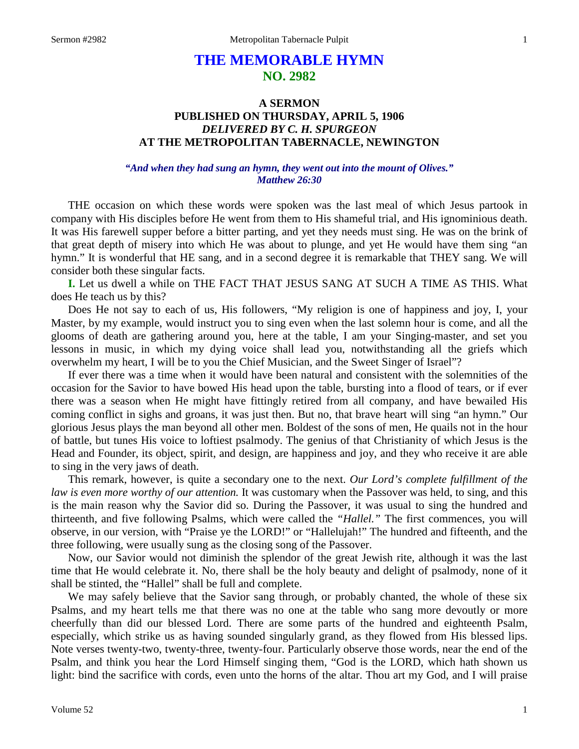# **THE MEMORABLE HYMN NO. 2982**

# **A SERMON PUBLISHED ON THURSDAY, APRIL 5, 1906** *DELIVERED BY C. H. SPURGEON* **AT THE METROPOLITAN TABERNACLE, NEWINGTON**

# *"And when they had sung an hymn, they went out into the mount of Olives." Matthew 26:30*

THE occasion on which these words were spoken was the last meal of which Jesus partook in company with His disciples before He went from them to His shameful trial, and His ignominious death. It was His farewell supper before a bitter parting, and yet they needs must sing. He was on the brink of that great depth of misery into which He was about to plunge, and yet He would have them sing "an hymn." It is wonderful that HE sang, and in a second degree it is remarkable that THEY sang. We will consider both these singular facts.

**I.** Let us dwell a while on THE FACT THAT JESUS SANG AT SUCH A TIME AS THIS. What does He teach us by this?

Does He not say to each of us, His followers, "My religion is one of happiness and joy, I, your Master, by my example, would instruct you to sing even when the last solemn hour is come, and all the glooms of death are gathering around you, here at the table, I am your Singing-master, and set you lessons in music, in which my dying voice shall lead you, notwithstanding all the griefs which overwhelm my heart, I will be to you the Chief Musician, and the Sweet Singer of Israel"?

If ever there was a time when it would have been natural and consistent with the solemnities of the occasion for the Savior to have bowed His head upon the table, bursting into a flood of tears, or if ever there was a season when He might have fittingly retired from all company, and have bewailed His coming conflict in sighs and groans, it was just then. But no, that brave heart will sing "an hymn." Our glorious Jesus plays the man beyond all other men. Boldest of the sons of men, He quails not in the hour of battle, but tunes His voice to loftiest psalmody. The genius of that Christianity of which Jesus is the Head and Founder, its object, spirit, and design, are happiness and joy, and they who receive it are able to sing in the very jaws of death.

This remark, however, is quite a secondary one to the next. *Our Lord's complete fulfillment of the law is even more worthy of our attention.* It was customary when the Passover was held, to sing, and this is the main reason why the Savior did so. During the Passover, it was usual to sing the hundred and thirteenth, and five following Psalms, which were called the *"Hallel."* The first commences, you will observe, in our version, with "Praise ye the LORD!" or "Hallelujah!" The hundred and fifteenth, and the three following, were usually sung as the closing song of the Passover.

Now, our Savior would not diminish the splendor of the great Jewish rite, although it was the last time that He would celebrate it. No, there shall be the holy beauty and delight of psalmody, none of it shall be stinted, the "Hallel" shall be full and complete.

We may safely believe that the Savior sang through, or probably chanted, the whole of these six Psalms, and my heart tells me that there was no one at the table who sang more devoutly or more cheerfully than did our blessed Lord. There are some parts of the hundred and eighteenth Psalm, especially, which strike us as having sounded singularly grand, as they flowed from His blessed lips. Note verses twenty-two, twenty-three, twenty-four. Particularly observe those words, near the end of the Psalm, and think you hear the Lord Himself singing them, "God is the LORD, which hath shown us light: bind the sacrifice with cords, even unto the horns of the altar. Thou art my God, and I will praise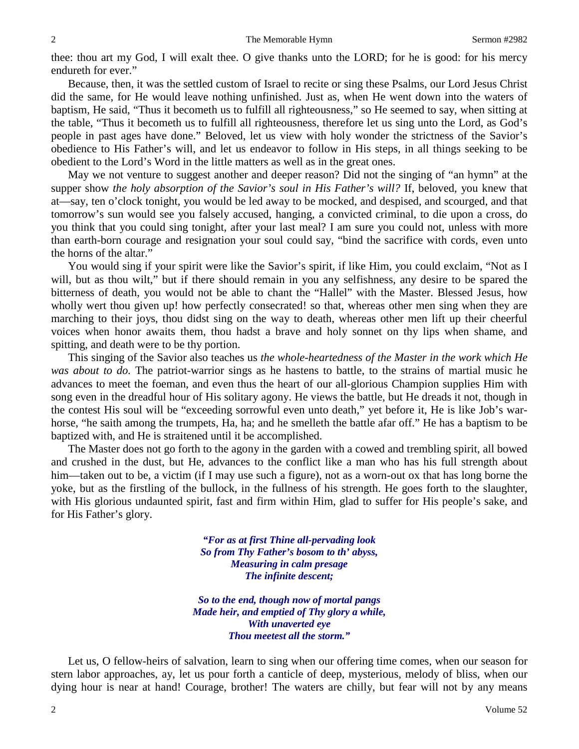thee: thou art my God, I will exalt thee. O give thanks unto the LORD; for he is good: for his mercy endureth for ever."

Because, then, it was the settled custom of Israel to recite or sing these Psalms, our Lord Jesus Christ did the same, for He would leave nothing unfinished. Just as, when He went down into the waters of baptism, He said, "Thus it becometh us to fulfill all righteousness," so He seemed to say, when sitting at the table, "Thus it becometh us to fulfill all righteousness, therefore let us sing unto the Lord, as God's people in past ages have done." Beloved, let us view with holy wonder the strictness of the Savior's obedience to His Father's will, and let us endeavor to follow in His steps, in all things seeking to be obedient to the Lord's Word in the little matters as well as in the great ones.

May we not venture to suggest another and deeper reason? Did not the singing of "an hymn" at the supper show *the holy absorption of the Savior's soul in His Father's will?* If, beloved, you knew that at—say, ten o'clock tonight, you would be led away to be mocked, and despised, and scourged, and that tomorrow's sun would see you falsely accused, hanging, a convicted criminal, to die upon a cross, do you think that you could sing tonight, after your last meal? I am sure you could not, unless with more than earth-born courage and resignation your soul could say, "bind the sacrifice with cords, even unto the horns of the altar."

You would sing if your spirit were like the Savior's spirit, if like Him, you could exclaim, "Not as I will, but as thou wilt," but if there should remain in you any selfishness, any desire to be spared the bitterness of death, you would not be able to chant the "Hallel" with the Master. Blessed Jesus, how wholly wert thou given up! how perfectly consecrated! so that, whereas other men sing when they are marching to their joys, thou didst sing on the way to death, whereas other men lift up their cheerful voices when honor awaits them, thou hadst a brave and holy sonnet on thy lips when shame, and spitting, and death were to be thy portion.

This singing of the Savior also teaches us *the whole-heartedness of the Master in the work which He was about to do.* The patriot-warrior sings as he hastens to battle, to the strains of martial music he advances to meet the foeman, and even thus the heart of our all-glorious Champion supplies Him with song even in the dreadful hour of His solitary agony. He views the battle, but He dreads it not, though in the contest His soul will be "exceeding sorrowful even unto death," yet before it, He is like Job's warhorse, "he saith among the trumpets, Ha, ha; and he smelleth the battle afar off." He has a baptism to be baptized with, and He is straitened until it be accomplished.

The Master does not go forth to the agony in the garden with a cowed and trembling spirit, all bowed and crushed in the dust, but He, advances to the conflict like a man who has his full strength about him—taken out to be, a victim (if I may use such a figure), not as a worn-out ox that has long borne the yoke, but as the firstling of the bullock, in the fullness of his strength. He goes forth to the slaughter, with His glorious undaunted spirit, fast and firm within Him, glad to suffer for His people's sake, and for His Father's glory.

> *"For as at first Thine all-pervading look So from Thy Father's bosom to th' abyss, Measuring in calm presage The infinite descent;*

*So to the end, though now of mortal pangs Made heir, and emptied of Thy glory a while, With unaverted eye Thou meetest all the storm."*

Let us, O fellow-heirs of salvation, learn to sing when our offering time comes, when our season for stern labor approaches, ay, let us pour forth a canticle of deep, mysterious, melody of bliss, when our dying hour is near at hand! Courage, brother! The waters are chilly, but fear will not by any means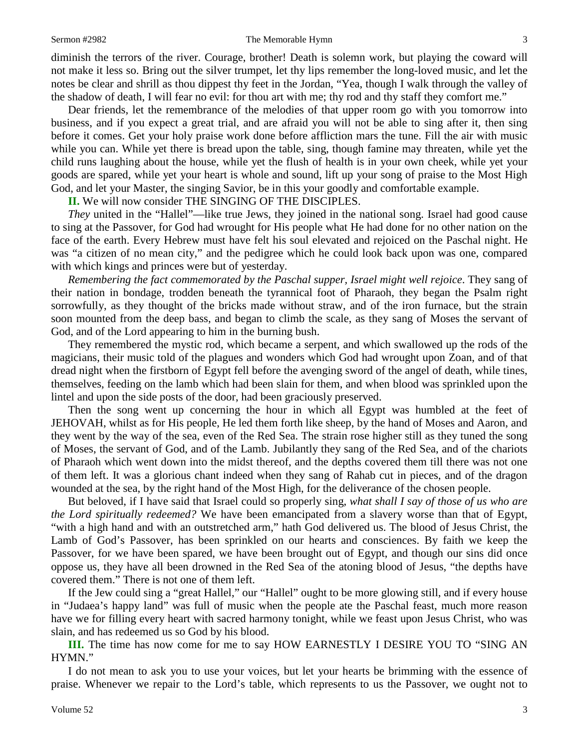#### Sermon #2982 The Memorable Hymn 3

diminish the terrors of the river. Courage, brother! Death is solemn work, but playing the coward will not make it less so. Bring out the silver trumpet, let thy lips remember the long-loved music, and let the notes be clear and shrill as thou dippest thy feet in the Jordan, "Yea, though I walk through the valley of the shadow of death, I will fear no evil: for thou art with me; thy rod and thy staff they comfort me."

Dear friends, let the remembrance of the melodies of that upper room go with you tomorrow into business, and if you expect a great trial, and are afraid you will not be able to sing after it, then sing before it comes. Get your holy praise work done before affliction mars the tune. Fill the air with music while you can. While yet there is bread upon the table, sing, though famine may threaten, while yet the child runs laughing about the house, while yet the flush of health is in your own cheek, while yet your goods are spared, while yet your heart is whole and sound, lift up your song of praise to the Most High God, and let your Master, the singing Savior, be in this your goodly and comfortable example.

**II.** We will now consider THE SINGING OF THE DISCIPLES.

*They* united in the "Hallel"—like true Jews, they joined in the national song. Israel had good cause to sing at the Passover, for God had wrought for His people what He had done for no other nation on the face of the earth. Every Hebrew must have felt his soul elevated and rejoiced on the Paschal night. He was "a citizen of no mean city," and the pedigree which he could look back upon was one, compared with which kings and princes were but of yesterday.

*Remembering the fact commemorated by the Paschal supper, Israel might well rejoice*. They sang of their nation in bondage, trodden beneath the tyrannical foot of Pharaoh, they began the Psalm right sorrowfully, as they thought of the bricks made without straw, and of the iron furnace, but the strain soon mounted from the deep bass, and began to climb the scale, as they sang of Moses the servant of God, and of the Lord appearing to him in the burning bush.

They remembered the mystic rod, which became a serpent, and which swallowed up the rods of the magicians, their music told of the plagues and wonders which God had wrought upon Zoan, and of that dread night when the firstborn of Egypt fell before the avenging sword of the angel of death, while tines, themselves, feeding on the lamb which had been slain for them, and when blood was sprinkled upon the lintel and upon the side posts of the door, had been graciously preserved.

Then the song went up concerning the hour in which all Egypt was humbled at the feet of JEHOVAH, whilst as for His people, He led them forth like sheep, by the hand of Moses and Aaron, and they went by the way of the sea, even of the Red Sea. The strain rose higher still as they tuned the song of Moses, the servant of God, and of the Lamb. Jubilantly they sang of the Red Sea, and of the chariots of Pharaoh which went down into the midst thereof, and the depths covered them till there was not one of them left. It was a glorious chant indeed when they sang of Rahab cut in pieces, and of the dragon wounded at the sea, by the right hand of the Most High, for the deliverance of the chosen people.

But beloved, if I have said that Israel could so properly sing, *what shall I say of those of us who are the Lord spiritually redeemed?* We have been emancipated from a slavery worse than that of Egypt, "with a high hand and with an outstretched arm," hath God delivered us. The blood of Jesus Christ, the Lamb of God's Passover, has been sprinkled on our hearts and consciences. By faith we keep the Passover, for we have been spared, we have been brought out of Egypt, and though our sins did once oppose us, they have all been drowned in the Red Sea of the atoning blood of Jesus, "the depths have covered them." There is not one of them left.

If the Jew could sing a "great Hallel," our "Hallel" ought to be more glowing still, and if every house in "Judaea's happy land" was full of music when the people ate the Paschal feast, much more reason have we for filling every heart with sacred harmony tonight, while we feast upon Jesus Christ, who was slain, and has redeemed us so God by his blood.

**III.** The time has now come for me to say HOW EARNESTLY I DESIRE YOU TO "SING AN HYMN."

I do not mean to ask you to use your voices, but let your hearts be brimming with the essence of praise. Whenever we repair to the Lord's table, which represents to us the Passover, we ought not to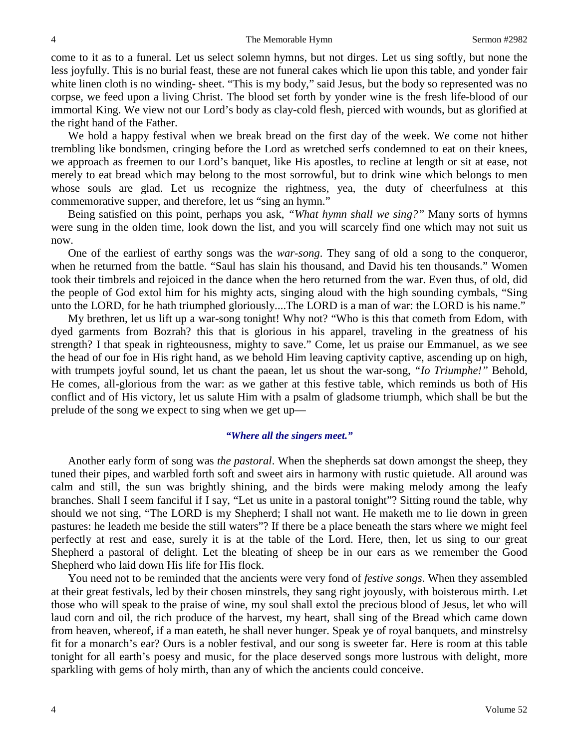come to it as to a funeral. Let us select solemn hymns, but not dirges. Let us sing softly, but none the less joyfully. This is no burial feast, these are not funeral cakes which lie upon this table, and yonder fair white linen cloth is no winding- sheet. "This is my body," said Jesus, but the body so represented was no corpse, we feed upon a living Christ. The blood set forth by yonder wine is the fresh life-blood of our immortal King. We view not our Lord's body as clay-cold flesh, pierced with wounds, but as glorified at the right hand of the Father.

We hold a happy festival when we break bread on the first day of the week. We come not hither trembling like bondsmen, cringing before the Lord as wretched serfs condemned to eat on their knees, we approach as freemen to our Lord's banquet, like His apostles, to recline at length or sit at ease, not merely to eat bread which may belong to the most sorrowful, but to drink wine which belongs to men whose souls are glad. Let us recognize the rightness, yea, the duty of cheerfulness at this commemorative supper, and therefore, let us "sing an hymn."

Being satisfied on this point, perhaps you ask, *"What hymn shall we sing?"* Many sorts of hymns were sung in the olden time, look down the list, and you will scarcely find one which may not suit us now.

One of the earliest of earthy songs was the *war-song*. They sang of old a song to the conqueror, when he returned from the battle. "Saul has slain his thousand, and David his ten thousands." Women took their timbrels and rejoiced in the dance when the hero returned from the war. Even thus, of old, did the people of God extol him for his mighty acts, singing aloud with the high sounding cymbals, "Sing unto the LORD, for he hath triumphed gloriously....The LORD is a man of war: the LORD is his name."

My brethren, let us lift up a war-song tonight! Why not? "Who is this that cometh from Edom, with dyed garments from Bozrah? this that is glorious in his apparel, traveling in the greatness of his strength? I that speak in righteousness, mighty to save." Come, let us praise our Emmanuel, as we see the head of our foe in His right hand, as we behold Him leaving captivity captive, ascending up on high, with trumpets joyful sound, let us chant the paean, let us shout the war-song, *"Io Triumphe!"* Behold, He comes, all-glorious from the war: as we gather at this festive table, which reminds us both of His conflict and of His victory, let us salute Him with a psalm of gladsome triumph, which shall be but the prelude of the song we expect to sing when we get up—

#### *"Where all the singers meet."*

Another early form of song was *the pastoral*. When the shepherds sat down amongst the sheep, they tuned their pipes, and warbled forth soft and sweet airs in harmony with rustic quietude. All around was calm and still, the sun was brightly shining, and the birds were making melody among the leafy branches. Shall I seem fanciful if I say, "Let us unite in a pastoral tonight"? Sitting round the table, why should we not sing, "The LORD is my Shepherd; I shall not want. He maketh me to lie down in green pastures: he leadeth me beside the still waters"? If there be a place beneath the stars where we might feel perfectly at rest and ease, surely it is at the table of the Lord. Here, then, let us sing to our great Shepherd a pastoral of delight. Let the bleating of sheep be in our ears as we remember the Good Shepherd who laid down His life for His flock.

You need not to be reminded that the ancients were very fond of *festive songs*. When they assembled at their great festivals, led by their chosen minstrels, they sang right joyously, with boisterous mirth. Let those who will speak to the praise of wine, my soul shall extol the precious blood of Jesus, let who will laud corn and oil, the rich produce of the harvest, my heart, shall sing of the Bread which came down from heaven, whereof, if a man eateth, he shall never hunger. Speak ye of royal banquets, and minstrelsy fit for a monarch's ear? Ours is a nobler festival, and our song is sweeter far. Here is room at this table tonight for all earth's poesy and music, for the place deserved songs more lustrous with delight, more sparkling with gems of holy mirth, than any of which the ancients could conceive.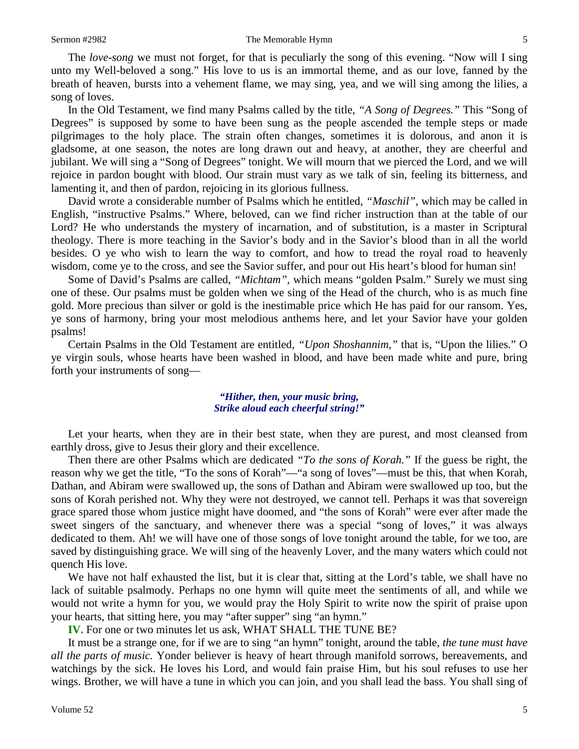The *love-song* we must not forget, for that is peculiarly the song of this evening. "Now will I sing unto my Well-beloved a song." His love to us is an immortal theme, and as our love, fanned by the breath of heaven, bursts into a vehement flame, we may sing, yea, and we will sing among the lilies, a song of loves.

In the Old Testament, we find many Psalms called by the title, *"A Song of Degrees."* This "Song of Degrees" is supposed by some to have been sung as the people ascended the temple steps or made pilgrimages to the holy place. The strain often changes, sometimes it is dolorous, and anon it is gladsome, at one season, the notes are long drawn out and heavy, at another, they are cheerful and jubilant. We will sing a "Song of Degrees" tonight. We will mourn that we pierced the Lord, and we will rejoice in pardon bought with blood. Our strain must vary as we talk of sin, feeling its bitterness, and lamenting it, and then of pardon, rejoicing in its glorious fullness.

David wrote a considerable number of Psalms which he entitled, *"Maschil",* which may be called in English, "instructive Psalms." Where, beloved, can we find richer instruction than at the table of our Lord? He who understands the mystery of incarnation, and of substitution, is a master in Scriptural theology. There is more teaching in the Savior's body and in the Savior's blood than in all the world besides. O ye who wish to learn the way to comfort, and how to tread the royal road to heavenly wisdom, come ye to the cross, and see the Savior suffer, and pour out His heart's blood for human sin!

Some of David's Psalms are called, *"Michtam",* which means "golden Psalm." Surely we must sing one of these. Our psalms must be golden when we sing of the Head of the church, who is as much fine gold. More precious than silver or gold is the inestimable price which He has paid for our ransom. Yes, ye sons of harmony, bring your most melodious anthems here, and let your Savior have your golden psalms!

Certain Psalms in the Old Testament are entitled, *"Upon Shoshannim,"* that is, "Upon the lilies." O ye virgin souls, whose hearts have been washed in blood, and have been made white and pure, bring forth your instruments of song—

# *"Hither, then, your music bring, Strike aloud each cheerful string!"*

Let your hearts, when they are in their best state, when they are purest, and most cleansed from earthly dross, give to Jesus their glory and their excellence.

Then there are other Psalms which are dedicated *"To the sons of Korah."* If the guess be right, the reason why we get the title, "To the sons of Korah"—"a song of loves"—must be this, that when Korah, Dathan, and Abiram were swallowed up, the sons of Dathan and Abiram were swallowed up too, but the sons of Korah perished not. Why they were not destroyed, we cannot tell. Perhaps it was that sovereign grace spared those whom justice might have doomed, and "the sons of Korah" were ever after made the sweet singers of the sanctuary, and whenever there was a special "song of loves," it was always dedicated to them. Ah! we will have one of those songs of love tonight around the table, for we too, are saved by distinguishing grace. We will sing of the heavenly Lover, and the many waters which could not quench His love.

We have not half exhausted the list, but it is clear that, sitting at the Lord's table, we shall have no lack of suitable psalmody. Perhaps no one hymn will quite meet the sentiments of all, and while we would not write a hymn for you, we would pray the Holy Spirit to write now the spirit of praise upon your hearts, that sitting here, you may "after supper" sing "an hymn."

**IV.** For one or two minutes let us ask, WHAT SHALL THE TUNE BE?

It must be a strange one, for if we are to sing "an hymn" tonight, around the table, *the tune must have all the parts of music.* Yonder believer is heavy of heart through manifold sorrows, bereavements, and watchings by the sick. He loves his Lord, and would fain praise Him, but his soul refuses to use her wings. Brother, we will have a tune in which you can join, and you shall lead the bass. You shall sing of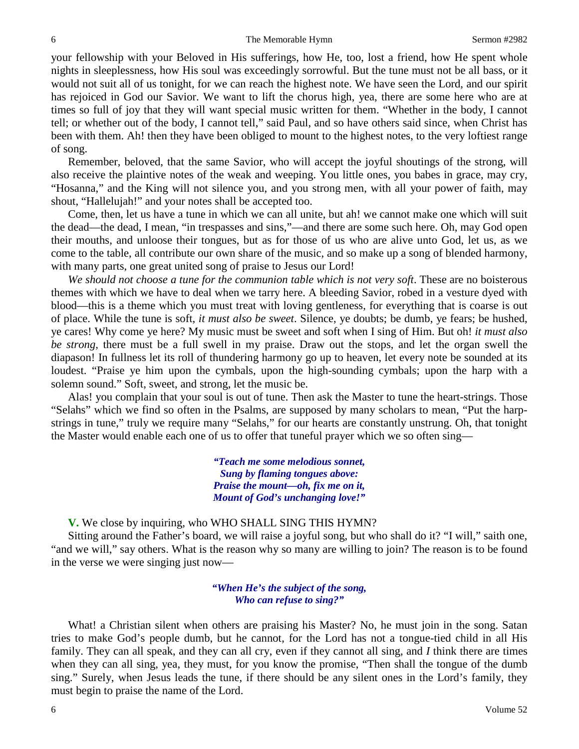your fellowship with your Beloved in His sufferings, how He, too, lost a friend, how He spent whole nights in sleeplessness, how His soul was exceedingly sorrowful. But the tune must not be all bass, or it would not suit all of us tonight, for we can reach the highest note. We have seen the Lord, and our spirit has rejoiced in God our Savior. We want to lift the chorus high, yea, there are some here who are at times so full of joy that they will want special music written for them. "Whether in the body, I cannot tell; or whether out of the body, I cannot tell," said Paul, and so have others said since, when Christ has been with them. Ah! then they have been obliged to mount to the highest notes, to the very loftiest range of song.

Remember, beloved, that the same Savior, who will accept the joyful shoutings of the strong, will also receive the plaintive notes of the weak and weeping. You little ones, you babes in grace, may cry, "Hosanna," and the King will not silence you, and you strong men, with all your power of faith, may shout, "Hallelujah!" and your notes shall be accepted too.

Come, then, let us have a tune in which we can all unite, but ah! we cannot make one which will suit the dead—the dead, I mean, "in trespasses and sins,"—and there are some such here. Oh, may God open their mouths, and unloose their tongues, but as for those of us who are alive unto God, let us, as we come to the table, all contribute our own share of the music, and so make up a song of blended harmony, with many parts, one great united song of praise to Jesus our Lord!

*We should not choose a tune for the communion table which is not very soft*. These are no boisterous themes with which we have to deal when we tarry here. A bleeding Savior, robed in a vesture dyed with blood—this is a theme which you must treat with loving gentleness, for everything that is coarse is out of place. While the tune is soft, *it must also be sweet*. Silence, ye doubts; be dumb, ye fears; be hushed, ye cares! Why come ye here? My music must be sweet and soft when I sing of Him. But oh! *it must also be strong,* there must be a full swell in my praise. Draw out the stops, and let the organ swell the diapason! In fullness let its roll of thundering harmony go up to heaven, let every note be sounded at its loudest. "Praise ye him upon the cymbals, upon the high-sounding cymbals; upon the harp with a solemn sound." Soft, sweet, and strong, let the music be.

Alas! you complain that your soul is out of tune. Then ask the Master to tune the heart-strings. Those "Selahs" which we find so often in the Psalms, are supposed by many scholars to mean, "Put the harpstrings in tune," truly we require many "Selahs," for our hearts are constantly unstrung. Oh, that tonight the Master would enable each one of us to offer that tuneful prayer which we so often sing—

> *"Teach me some melodious sonnet, Sung by flaming tongues above: Praise the mount—oh, fix me on it, Mount of God's unchanging love!"*

**V.** We close by inquiring, who WHO SHALL SING THIS HYMN?

Sitting around the Father's board, we will raise a joyful song, but who shall do it? "I will," saith one, "and we will," say others. What is the reason why so many are willing to join? The reason is to be found in the verse we were singing just now—

# *"When He's the subject of the song, Who can refuse to sing?"*

What! a Christian silent when others are praising his Master? No, he must join in the song. Satan tries to make God's people dumb, but he cannot, for the Lord has not a tongue-tied child in all His family. They can all speak, and they can all cry, even if they cannot all sing, and *I* think there are times when they can all sing, yea, they must, for you know the promise, "Then shall the tongue of the dumb sing." Surely, when Jesus leads the tune, if there should be any silent ones in the Lord's family, they must begin to praise the name of the Lord.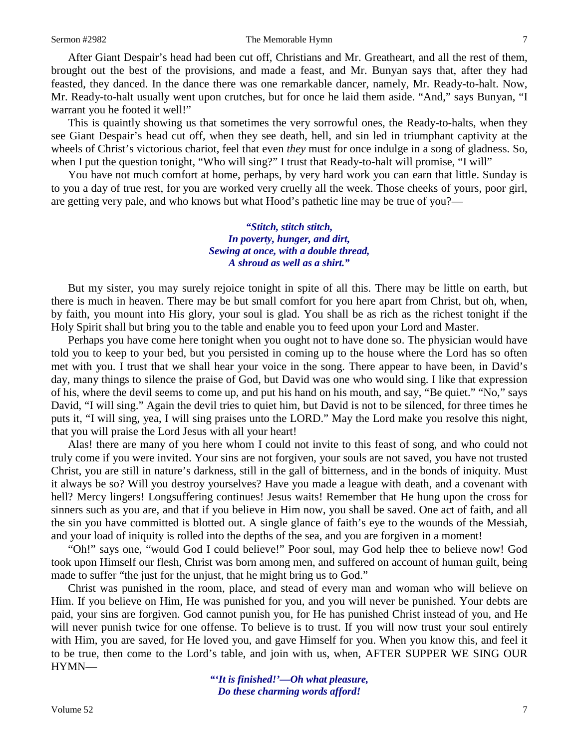#### Sermon #2982 The Memorable Hymn 7

After Giant Despair's head had been cut off, Christians and Mr. Greatheart, and all the rest of them, brought out the best of the provisions, and made a feast, and Mr. Bunyan says that, after they had feasted, they danced. In the dance there was one remarkable dancer, namely, Mr. Ready-to-halt. Now, Mr. Ready-to-halt usually went upon crutches, but for once he laid them aside. "And," says Bunyan, "I warrant you he footed it well!"

This is quaintly showing us that sometimes the very sorrowful ones, the Ready-to-halts, when they see Giant Despair's head cut off, when they see death, hell, and sin led in triumphant captivity at the wheels of Christ's victorious chariot, feel that even *they* must for once indulge in a song of gladness. So, when I put the question tonight, "Who will sing?" I trust that Ready-to-halt will promise, "I will"

You have not much comfort at home, perhaps, by very hard work you can earn that little. Sunday is to you a day of true rest, for you are worked very cruelly all the week. Those cheeks of yours, poor girl, are getting very pale, and who knows but what Hood's pathetic line may be true of you?—

> *"Stitch, stitch stitch, In poverty, hunger, and dirt, Sewing at once, with a double thread, A shroud as well as a shirt."*

But my sister, you may surely rejoice tonight in spite of all this. There may be little on earth, but there is much in heaven. There may be but small comfort for you here apart from Christ, but oh, when, by faith, you mount into His glory, your soul is glad. You shall be as rich as the richest tonight if the Holy Spirit shall but bring you to the table and enable you to feed upon your Lord and Master.

Perhaps you have come here tonight when you ought not to have done so. The physician would have told you to keep to your bed, but you persisted in coming up to the house where the Lord has so often met with you. I trust that we shall hear your voice in the song. There appear to have been, in David's day, many things to silence the praise of God, but David was one who would sing. I like that expression of his, where the devil seems to come up, and put his hand on his mouth, and say, "Be quiet." "No," says David, "I will sing." Again the devil tries to quiet him, but David is not to be silenced, for three times he puts it, "I will sing, yea, I will sing praises unto the LORD." May the Lord make you resolve this night, that you will praise the Lord Jesus with all your heart!

Alas! there are many of you here whom I could not invite to this feast of song, and who could not truly come if you were invited. Your sins are not forgiven, your souls are not saved, you have not trusted Christ, you are still in nature's darkness, still in the gall of bitterness, and in the bonds of iniquity. Must it always be so? Will you destroy yourselves? Have you made a league with death, and a covenant with hell? Mercy lingers! Longsuffering continues! Jesus waits! Remember that He hung upon the cross for sinners such as you are, and that if you believe in Him now, you shall be saved. One act of faith, and all the sin you have committed is blotted out. A single glance of faith's eye to the wounds of the Messiah, and your load of iniquity is rolled into the depths of the sea, and you are forgiven in a moment!

"Oh!" says one, "would God I could believe!" Poor soul, may God help thee to believe now! God took upon Himself our flesh, Christ was born among men, and suffered on account of human guilt, being made to suffer "the just for the unjust, that he might bring us to God."

Christ was punished in the room, place, and stead of every man and woman who will believe on Him. If you believe on Him, He was punished for you, and you will never be punished. Your debts are paid, your sins are forgiven. God cannot punish you, for He has punished Christ instead of you, and He will never punish twice for one offense. To believe is to trust. If you will now trust your soul entirely with Him, you are saved, for He loved you, and gave Himself for you. When you know this, and feel it to be true, then come to the Lord's table, and join with us, when, AFTER SUPPER WE SING OUR HYMN—

> *"'It is finished!'—Oh what pleasure, Do these charming words afford!*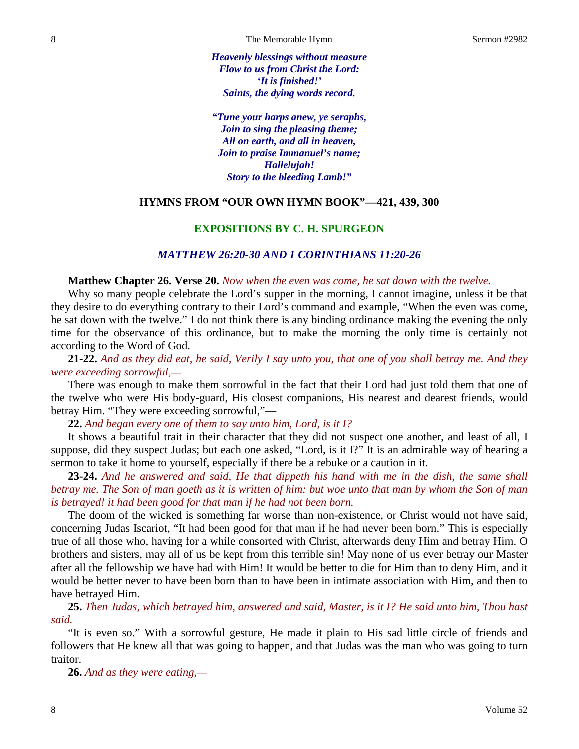*Heavenly blessings without measure Flow to us from Christ the Lord: 'It is finished!' Saints, the dying words record.* 

*"Tune your harps anew, ye seraphs, Join to sing the pleasing theme; All on earth, and all in heaven, Join to praise Immanuel's name; Hallelujah! Story to the bleeding Lamb!"*

# **HYMNS FROM "OUR OWN HYMN BOOK"—421, 439, 300**

### **EXPOSITIONS BY C. H. SPURGEON**

### *MATTHEW 26:20-30 AND 1 CORINTHIANS 11:20-26*

**Matthew Chapter 26. Verse 20.** *Now when the even was come, he sat down with the twelve.*

Why so many people celebrate the Lord's supper in the morning, I cannot imagine, unless it be that they desire to do everything contrary to their Lord's command and example, "When the even was come, he sat down with the twelve." I do not think there is any binding ordinance making the evening the only time for the observance of this ordinance, but to make the morning the only time is certainly not according to the Word of God.

**21-22.** *And as they did eat, he said, Verily I say unto you, that one of you shall betray me. And they were exceeding sorrowful,—*

There was enough to make them sorrowful in the fact that their Lord had just told them that one of the twelve who were His body-guard, His closest companions, His nearest and dearest friends, would betray Him. "They were exceeding sorrowful,"—

**22.** *And began every one of them to say unto him, Lord, is it I?*

It shows a beautiful trait in their character that they did not suspect one another, and least of all, I suppose, did they suspect Judas; but each one asked, "Lord, is it I?" It is an admirable way of hearing a sermon to take it home to yourself, especially if there be a rebuke or a caution in it.

**23-24.** *And he answered and said, He that dippeth his hand with me in the dish, the same shall betray me. The Son of man goeth as it is written of him: but woe unto that man by whom the Son of man is betrayed! it had been good for that man if he had not been born.*

The doom of the wicked is something far worse than non-existence, or Christ would not have said, concerning Judas Iscariot, "It had been good for that man if he had never been born." This is especially true of all those who, having for a while consorted with Christ, afterwards deny Him and betray Him. O brothers and sisters, may all of us be kept from this terrible sin! May none of us ever betray our Master after all the fellowship we have had with Him! It would be better to die for Him than to deny Him, and it would be better never to have been born than to have been in intimate association with Him, and then to have betrayed Him.

**25.** *Then Judas, which betrayed him, answered and said, Master, is it I? He said unto him, Thou hast said.*

"It is even so." With a sorrowful gesture, He made it plain to His sad little circle of friends and followers that He knew all that was going to happen, and that Judas was the man who was going to turn traitor.

**26.** *And as they were eating,—*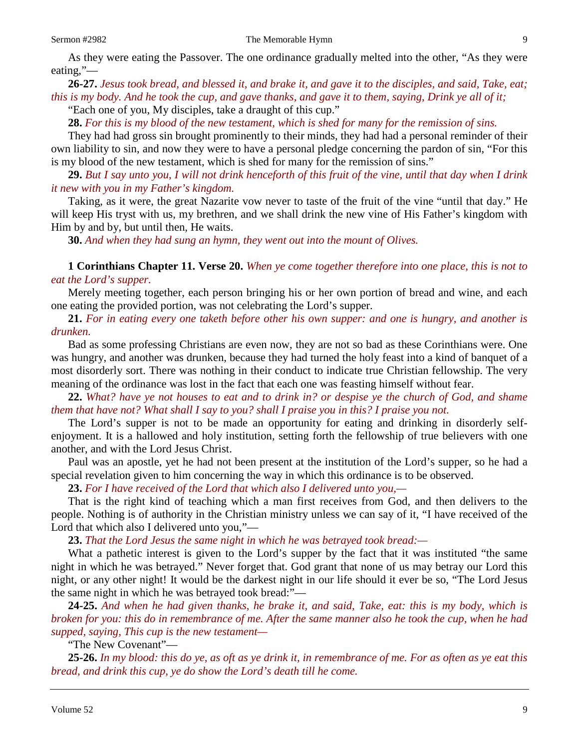As they were eating the Passover. The one ordinance gradually melted into the other, "As they were eating,"—

**26-27.** *Jesus took bread, and blessed it, and brake it, and gave it to the disciples, and said, Take, eat; this is my body. And he took the cup, and gave thanks, and gave it to them, saying, Drink ye all of it;* "Each one of you, My disciples, take a draught of this cup."

**28.** *For this is my blood of the new testament, which is shed for many for the remission of sins.*

They had had gross sin brought prominently to their minds, they had had a personal reminder of their own liability to sin, and now they were to have a personal pledge concerning the pardon of sin, "For this is my blood of the new testament, which is shed for many for the remission of sins."

**29.** *But I say unto you, I will not drink henceforth of this fruit of the vine, until that day when I drink it new with you in my Father's kingdom.*

Taking, as it were, the great Nazarite vow never to taste of the fruit of the vine "until that day." He will keep His tryst with us, my brethren, and we shall drink the new vine of His Father's kingdom with Him by and by, but until then, He waits.

**30.** *And when they had sung an hymn, they went out into the mount of Olives.*

**1 Corinthians Chapter 11. Verse 20.** *When ye come together therefore into one place, this is not to eat the Lord's supper.*

Merely meeting together, each person bringing his or her own portion of bread and wine, and each one eating the provided portion, was not celebrating the Lord's supper.

**21.** *For in eating every one taketh before other his own supper: and one is hungry, and another is drunken.*

Bad as some professing Christians are even now, they are not so bad as these Corinthians were. One was hungry, and another was drunken, because they had turned the holy feast into a kind of banquet of a most disorderly sort. There was nothing in their conduct to indicate true Christian fellowship. The very meaning of the ordinance was lost in the fact that each one was feasting himself without fear.

**22.** *What? have ye not houses to eat and to drink in? or despise ye the church of God, and shame them that have not? What shall I say to you? shall I praise you in this? I praise you not.*

The Lord's supper is not to be made an opportunity for eating and drinking in disorderly selfenjoyment. It is a hallowed and holy institution, setting forth the fellowship of true believers with one another, and with the Lord Jesus Christ.

Paul was an apostle, yet he had not been present at the institution of the Lord's supper, so he had a special revelation given to him concerning the way in which this ordinance is to be observed.

**23.** *For I have received of the Lord that which also I delivered unto you,—*

That is the right kind of teaching which a man first receives from God, and then delivers to the people. Nothing is of authority in the Christian ministry unless we can say of it, "I have received of the Lord that which also I delivered unto you,"—

**23.** *That the Lord Jesus the same night in which he was betrayed took bread:—*

What a pathetic interest is given to the Lord's supper by the fact that it was instituted "the same night in which he was betrayed." Never forget that. God grant that none of us may betray our Lord this night, or any other night! It would be the darkest night in our life should it ever be so, "The Lord Jesus the same night in which he was betrayed took bread:"—

**24-25.** *And when he had given thanks, he brake it, and said, Take, eat: this is my body, which is broken for you: this do in remembrance of me. After the same manner also he took the cup, when he had supped, saying, This cup is the new testament—*

"The New Covenant"—

**25-26.** *In my blood: this do ye, as oft as ye drink it, in remembrance of me. For as often as ye eat this bread, and drink this cup, ye do show the Lord's death till he come.*